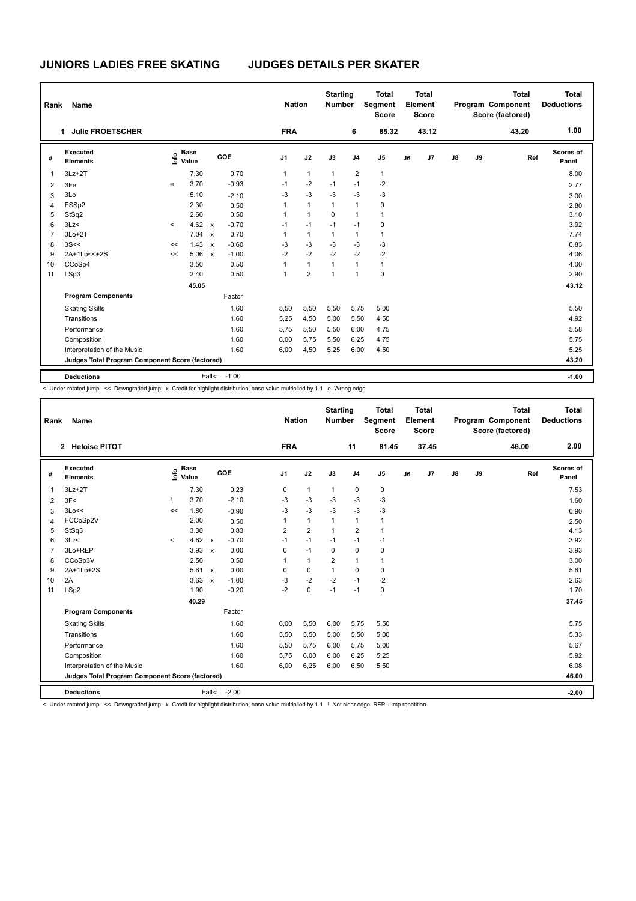| <b>Name</b><br>Rank<br>1. |                                                 |         |                      |                           |            | <b>Nation</b> |                | <b>Starting</b><br><b>Number</b> |                | <b>Total</b><br>Segment<br><b>Score</b> |    | <b>Total</b><br>Element<br><b>Score</b> |               |    | <b>Total</b><br>Program Component<br>Score (factored) | <b>Total</b><br><b>Deductions</b> |
|---------------------------|-------------------------------------------------|---------|----------------------|---------------------------|------------|---------------|----------------|----------------------------------|----------------|-----------------------------------------|----|-----------------------------------------|---------------|----|-------------------------------------------------------|-----------------------------------|
|                           | <b>Julie FROETSCHER</b>                         |         |                      |                           |            | <b>FRA</b>    |                |                                  | 6              | 85.32                                   |    | 43.12                                   |               |    | 43.20                                                 | 1.00                              |
| #                         | Executed<br><b>Elements</b>                     | lnfo    | <b>Base</b><br>Value |                           | <b>GOE</b> | J1            | J2             | J3                               | J <sub>4</sub> | J <sub>5</sub>                          | J6 | J7                                      | $\mathsf{J}8$ | J9 | Ref                                                   | <b>Scores of</b><br>Panel         |
| 1                         | $3Lz + 2T$                                      |         | 7.30                 |                           | 0.70       | $\mathbf{1}$  | $\mathbf{1}$   | $\mathbf{1}$                     | 2              | $\mathbf{1}$                            |    |                                         |               |    |                                                       | 8.00                              |
| 2                         | 3Fe                                             | e       | 3.70                 |                           | $-0.93$    | $-1$          | $-2$           | $-1$                             | $-1$           | $-2$                                    |    |                                         |               |    |                                                       | 2.77                              |
| 3                         | 3Lo                                             |         | 5.10                 |                           | $-2.10$    | $-3$          | $-3$           | $-3$                             | $-3$           | $-3$                                    |    |                                         |               |    |                                                       | 3.00                              |
| $\overline{4}$            | FSSp2                                           |         | 2.30                 |                           | 0.50       | 1             | $\mathbf{1}$   | $\mathbf{1}$                     | 1              | 0                                       |    |                                         |               |    |                                                       | 2.80                              |
| 5                         | StSq2                                           |         | 2.60                 |                           | 0.50       | 1             | $\mathbf{1}$   | 0                                | 1              | 1                                       |    |                                         |               |    |                                                       | 3.10                              |
| 6                         | 3Lz                                             | $\prec$ | 4.62 $\times$        |                           | $-0.70$    | $-1$          | $-1$           | $-1$                             | $-1$           | 0                                       |    |                                         |               |    |                                                       | 3.92                              |
| $\overline{7}$            | $3Lo+2T$                                        |         | 7.04                 | $\boldsymbol{\mathsf{x}}$ | 0.70       | $\mathbf{1}$  | $\mathbf{1}$   | $\mathbf{1}$                     | 1              | 1                                       |    |                                         |               |    |                                                       | 7.74                              |
| 8                         | 3S<<                                            | <<      | 1.43                 | $\boldsymbol{\mathsf{x}}$ | $-0.60$    | $-3$          | $-3$           | $-3$                             | $-3$           | $-3$                                    |    |                                         |               |    |                                                       | 0.83                              |
| 9                         | 2A+1Lo << + 2S                                  | <<      | 5.06                 | $\boldsymbol{\mathsf{x}}$ | $-1.00$    | $-2$          | $-2$           | $-2$                             | $-2$           | $-2$                                    |    |                                         |               |    |                                                       | 4.06                              |
| 10                        | CCoSp4                                          |         | 3.50                 |                           | 0.50       | $\mathbf{1}$  | $\mathbf{1}$   | 1                                | 1              | $\mathbf{1}$                            |    |                                         |               |    |                                                       | 4.00                              |
| 11                        | LSp3                                            |         | 2.40                 |                           | 0.50       | $\mathbf{1}$  | $\overline{2}$ | 1                                | 1              | $\mathbf 0$                             |    |                                         |               |    |                                                       | 2.90                              |
|                           |                                                 |         | 45.05                |                           |            |               |                |                                  |                |                                         |    |                                         |               |    |                                                       | 43.12                             |
|                           | <b>Program Components</b>                       |         |                      |                           | Factor     |               |                |                                  |                |                                         |    |                                         |               |    |                                                       |                                   |
|                           | <b>Skating Skills</b>                           |         |                      |                           | 1.60       | 5,50          | 5,50           | 5,50                             | 5,75           | 5,00                                    |    |                                         |               |    |                                                       | 5.50                              |
|                           | Transitions                                     |         |                      |                           | 1.60       | 5,25          | 4,50           | 5,00                             | 5,50           | 4,50                                    |    |                                         |               |    |                                                       | 4.92                              |
|                           | Performance                                     |         |                      |                           | 1.60       | 5,75          | 5,50           | 5,50                             | 6,00           | 4,75                                    |    |                                         |               |    |                                                       | 5.58                              |
|                           | Composition                                     |         |                      |                           | 1.60       | 6,00          | 5,75           | 5,50                             | 6,25           | 4,75                                    |    |                                         |               |    |                                                       | 5.75                              |
|                           | Interpretation of the Music                     |         |                      |                           | 1.60       | 6,00          | 4,50           | 5,25                             | 6,00           | 4,50                                    |    |                                         |               |    |                                                       | 5.25                              |
|                           | Judges Total Program Component Score (factored) |         |                      |                           |            |               |                |                                  |                |                                         |    |                                         |               |    |                                                       | 43.20                             |
|                           | <b>Deductions</b>                               |         |                      | Falls:                    | $-1.00$    |               |                |                                  |                |                                         |    |                                         |               |    |                                                       | $-1.00$                           |

< Under-rotated jump << Downgraded jump x Credit for highlight distribution, base value multiplied by 1.1 e Wrong edge

|                | Name<br>Rank                                    |         |                      |                           |         |  |                | <b>Nation</b>  | <b>Starting</b><br><b>Number</b> |                | <b>Total</b><br><b>Segment</b><br><b>Score</b> |    | Total<br>Element<br><b>Score</b> |               |    | Total<br>Program Component<br>Score (factored) |     | Total<br><b>Deductions</b> |
|----------------|-------------------------------------------------|---------|----------------------|---------------------------|---------|--|----------------|----------------|----------------------------------|----------------|------------------------------------------------|----|----------------------------------|---------------|----|------------------------------------------------|-----|----------------------------|
|                | 2 Heloise PITOT                                 |         |                      |                           |         |  | <b>FRA</b>     |                |                                  | 11             | 81.45                                          |    | 37.45                            |               |    | 46.00                                          |     | 2.00                       |
| #              | Executed<br><b>Elements</b>                     | e       | <b>Base</b><br>Value |                           | GOE     |  | J1             | J2             | J3                               | J <sub>4</sub> | J5                                             | J6 | J7                               | $\mathsf{J}8$ | J9 |                                                | Ref | Scores of<br>Panel         |
| 1              | $3Lz + 2T$                                      |         | 7.30                 |                           | 0.23    |  | 0              | $\mathbf{1}$   | $\mathbf{1}$                     | $\mathbf 0$    | 0                                              |    |                                  |               |    |                                                |     | 7.53                       |
| 2              | 3F<                                             |         | 3.70                 |                           | $-2.10$ |  | -3             | $-3$           | $-3$                             | $-3$           | $-3$                                           |    |                                  |               |    |                                                |     | 1.60                       |
| 3              | 3Lo<<                                           | <<      | 1.80                 |                           | $-0.90$ |  | $-3$           | $-3$           | $-3$                             | $-3$           | $-3$                                           |    |                                  |               |    |                                                |     | 0.90                       |
| 4              | FCCoSp2V                                        |         | 2.00                 |                           | 0.50    |  | 1              | $\mathbf{1}$   | $\overline{1}$                   | $\mathbf{1}$   | $\mathbf{1}$                                   |    |                                  |               |    |                                                |     | 2.50                       |
| 5              | StSq3                                           |         | 3.30                 |                           | 0.83    |  | $\overline{2}$ | $\overline{2}$ | $\mathbf{1}$                     | $\overline{2}$ | $\mathbf{1}$                                   |    |                                  |               |    |                                                |     | 4.13                       |
| 6              | 3Lz                                             | $\prec$ | 4.62                 | $\mathsf{x}$              | $-0.70$ |  | $-1$           | $-1$           | $-1$                             | $-1$           | $-1$                                           |    |                                  |               |    |                                                |     | 3.92                       |
| $\overline{7}$ | 3Lo+REP                                         |         | 3.93                 | $\boldsymbol{\mathsf{x}}$ | 0.00    |  | 0              | $-1$           | $\Omega$                         | $\mathbf 0$    | 0                                              |    |                                  |               |    |                                                |     | 3.93                       |
| 8              | CCoSp3V                                         |         | 2.50                 |                           | 0.50    |  | 1              | $\mathbf{1}$   | $\overline{2}$                   | $\mathbf{1}$   | $\mathbf{1}$                                   |    |                                  |               |    |                                                |     | 3.00                       |
| 9              | 2A+1Lo+2S                                       |         | $5.61 \times$        |                           | 0.00    |  | 0              | $\mathbf 0$    | $\mathbf{1}$                     | $\mathbf 0$    | $\mathbf 0$                                    |    |                                  |               |    |                                                |     | 5.61                       |
| 10             | 2A                                              |         | 3.63                 | $\mathbf{x}$              | $-1.00$ |  | $-3$           | $-2$           | $-2$                             | $-1$           | $-2$                                           |    |                                  |               |    |                                                |     | 2.63                       |
| 11             | LSp2                                            |         | 1.90                 |                           | $-0.20$ |  | $-2$           | $\pmb{0}$      | $-1$                             | $-1$           | $\mathbf 0$                                    |    |                                  |               |    |                                                |     | 1.70                       |
|                |                                                 |         | 40.29                |                           |         |  |                |                |                                  |                |                                                |    |                                  |               |    |                                                |     | 37.45                      |
|                | <b>Program Components</b>                       |         |                      |                           | Factor  |  |                |                |                                  |                |                                                |    |                                  |               |    |                                                |     |                            |
|                | <b>Skating Skills</b>                           |         |                      |                           | 1.60    |  | 6,00           | 5,50           | 6,00                             | 5,75           | 5,50                                           |    |                                  |               |    |                                                |     | 5.75                       |
|                | Transitions                                     |         |                      |                           | 1.60    |  | 5,50           | 5,50           | 5,00                             | 5,50           | 5,00                                           |    |                                  |               |    |                                                |     | 5.33                       |
|                | Performance                                     |         |                      |                           | 1.60    |  | 5.50           | 5,75           | 6.00                             | 5.75           | 5,00                                           |    |                                  |               |    |                                                |     | 5.67                       |
|                | Composition                                     |         |                      |                           | 1.60    |  | 5.75           | 6,00           | 6,00                             | 6,25           | 5,25                                           |    |                                  |               |    |                                                |     | 5.92                       |
|                | Interpretation of the Music                     |         |                      |                           | 1.60    |  | 6.00           | 6,25           | 6,00                             | 6,50           | 5,50                                           |    |                                  |               |    |                                                |     | 6.08                       |
|                | Judges Total Program Component Score (factored) |         |                      |                           |         |  |                |                |                                  |                |                                                |    |                                  |               |    |                                                |     | 46.00                      |
|                | <b>Deductions</b>                               |         |                      | Falls:                    | $-2.00$ |  |                |                |                                  |                |                                                |    |                                  |               |    |                                                |     | $-2.00$                    |

< Under-rotated jump << Downgraded jump x Credit for highlight distribution, base value multiplied by 1.1 ! Not clear edge REP Jump repetition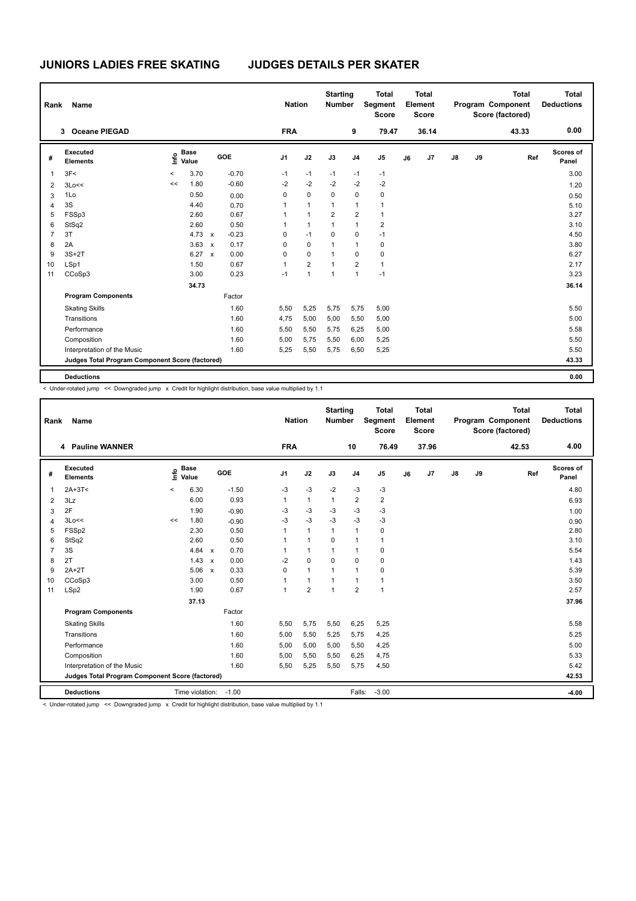| Name<br>Rank<br>3 |                                                 |       |                      |                           |         | <b>Nation</b> | <b>Starting</b><br><b>Number</b> |                | <b>Total</b><br>Segment<br><b>Score</b> |                | <b>Total</b><br>Element<br><b>Score</b> |       |               | <b>Total</b><br>Program Component<br>Score (factored) | <b>Total</b><br><b>Deductions</b> |                    |
|-------------------|-------------------------------------------------|-------|----------------------|---------------------------|---------|---------------|----------------------------------|----------------|-----------------------------------------|----------------|-----------------------------------------|-------|---------------|-------------------------------------------------------|-----------------------------------|--------------------|
|                   | <b>Oceane PIEGAD</b>                            |       |                      |                           |         | <b>FRA</b>    |                                  |                | 9                                       | 79.47          |                                         | 36.14 |               |                                                       | 43.33                             | 0.00               |
| #                 | Executed<br><b>Elements</b>                     | ١nfo  | <b>Base</b><br>Value |                           | GOE     | J1            | J2                               | J3             | J <sub>4</sub>                          | J <sub>5</sub> | J6                                      | J7    | $\mathsf{J}8$ | J9                                                    | Ref                               | Scores of<br>Panel |
| 1                 | 3F<                                             | $\,<$ | 3.70                 |                           | $-0.70$ | $-1$          | $-1$                             | $-1$           | $-1$                                    | $-1$           |                                         |       |               |                                                       |                                   | 3.00               |
| 2                 | 3Lo<<                                           | <<    | 1.80                 |                           | $-0.60$ | $-2$          | $-2$                             | $-2$           | $-2$                                    | $-2$           |                                         |       |               |                                                       |                                   | 1.20               |
| 3                 | 1Lo                                             |       | 0.50                 |                           | 0.00    | 0             | $\mathbf 0$                      | 0              | 0                                       | $\mathbf 0$    |                                         |       |               |                                                       |                                   | 0.50               |
| $\overline{4}$    | 3S                                              |       | 4.40                 |                           | 0.70    | 1             | $\mathbf{1}$                     | 1              | 1                                       | 1              |                                         |       |               |                                                       |                                   | 5.10               |
| 5                 | FSSp3                                           |       | 2.60                 |                           | 0.67    | 1             | 1                                | $\overline{2}$ | 2                                       | 1              |                                         |       |               |                                                       |                                   | 3.27               |
| 6                 | StSq2                                           |       | 2.60                 |                           | 0.50    | $\mathbf{1}$  | 1                                | 1              | 1                                       | $\overline{2}$ |                                         |       |               |                                                       |                                   | 3.10               |
| $\overline{7}$    | 3T                                              |       | 4.73                 | $\mathsf{x}$              | $-0.23$ | 0             | $-1$                             | 0              | 0                                       | $-1$           |                                         |       |               |                                                       |                                   | 4.50               |
| 8                 | 2A                                              |       | 3.63                 | $\boldsymbol{\mathsf{x}}$ | 0.17    | 0             | $\mathbf 0$                      | $\mathbf{1}$   | 1                                       | 0              |                                         |       |               |                                                       |                                   | 3.80               |
| 9                 | $3S+2T$                                         |       | 6.27                 | $\mathsf{x}$              | 0.00    | 0             | $\mathbf 0$                      | 1              | 0                                       | 0              |                                         |       |               |                                                       |                                   | 6.27               |
| 10                | LSp1                                            |       | 1.50                 |                           | 0.67    | 1             | $\overline{2}$                   | 1              | $\overline{2}$                          | $\mathbf{1}$   |                                         |       |               |                                                       |                                   | 2.17               |
| 11                | CCoSp3                                          |       | 3.00                 |                           | 0.23    | $-1$          | $\mathbf{1}$                     | $\mathbf{1}$   | 1                                       | $-1$           |                                         |       |               |                                                       |                                   | 3.23               |
|                   |                                                 |       | 34.73                |                           |         |               |                                  |                |                                         |                |                                         |       |               |                                                       |                                   | 36.14              |
|                   | <b>Program Components</b>                       |       |                      |                           | Factor  |               |                                  |                |                                         |                |                                         |       |               |                                                       |                                   |                    |
|                   | <b>Skating Skills</b>                           |       |                      |                           | 1.60    | 5,50          | 5,25                             | 5,75           | 5,75                                    | 5,00           |                                         |       |               |                                                       |                                   | 5.50               |
|                   | Transitions                                     |       |                      |                           | 1.60    | 4,75          | 5,00                             | 5,00           | 5,50                                    | 5,00           |                                         |       |               |                                                       |                                   | 5.00               |
|                   | Performance                                     |       |                      |                           | 1.60    | 5,50          | 5,50                             | 5,75           | 6,25                                    | 5,00           |                                         |       |               |                                                       |                                   | 5.58               |
|                   | Composition                                     |       |                      |                           | 1.60    | 5,00          | 5,75                             | 5,50           | 6,00                                    | 5,25           |                                         |       |               |                                                       |                                   | 5.50               |
|                   | Interpretation of the Music                     |       |                      |                           | 1.60    | 5,25          | 5,50                             | 5,75           | 6,50                                    | 5,25           |                                         |       |               |                                                       |                                   | 5.50               |
|                   | Judges Total Program Component Score (factored) |       |                      |                           |         |               |                                  |                |                                         |                |                                         |       |               |                                                       |                                   | 43.33              |
|                   | <b>Deductions</b>                               |       |                      |                           |         |               |                                  |                |                                         |                |                                         |       |               |                                                       |                                   | 0.00               |

< Under-rotated jump << Downgraded jump x Credit for highlight distribution, base value multiplied by 1.1

| Rank           | <b>Name</b>                                     |         | <b>Nation</b>        | <b>Starting</b><br><b>Number</b> |         | <b>Total</b><br>Segment<br><b>Score</b> |                | <b>Total</b><br>Element<br><b>Score</b> |                |                | <b>Total</b><br>Program Component<br>Score (factored) | Total<br><b>Deductions</b> |               |    |       |                           |
|----------------|-------------------------------------------------|---------|----------------------|----------------------------------|---------|-----------------------------------------|----------------|-----------------------------------------|----------------|----------------|-------------------------------------------------------|----------------------------|---------------|----|-------|---------------------------|
|                | 4 Pauline WANNER                                |         |                      |                                  |         | <b>FRA</b>                              |                |                                         | 10             | 76.49          |                                                       | 37.96                      |               |    | 42.53 | 4.00                      |
| #              | Executed<br><b>Elements</b>                     | ١nfo    | <b>Base</b><br>Value |                                  | GOE     | J <sub>1</sub>                          | J2             | J3                                      | J <sub>4</sub> | J <sub>5</sub> | J6                                                    | J <sub>7</sub>             | $\mathsf{J}8$ | J9 | Ref   | <b>Scores of</b><br>Panel |
| 1              | $2A+3T<$                                        | $\prec$ | 6.30                 |                                  | $-1.50$ | $-3$                                    | $-3$           | $-2$                                    | $-3$           | $-3$           |                                                       |                            |               |    |       | 4.80                      |
| 2              | 3Lz                                             |         | 6.00                 |                                  | 0.93    | $\mathbf{1}$                            | $\mathbf{1}$   | 1                                       | $\overline{2}$ | $\overline{2}$ |                                                       |                            |               |    |       | 6.93                      |
| 3              | 2F                                              |         | 1.90                 |                                  | $-0.90$ | -3                                      | $-3$           | $-3$                                    | $-3$           | $-3$           |                                                       |                            |               |    |       | 1.00                      |
| $\overline{4}$ | 3Lo<<                                           | <<      | 1.80                 |                                  | $-0.90$ | $-3$                                    | $-3$           | $-3$                                    | $-3$           | $-3$           |                                                       |                            |               |    |       | 0.90                      |
| 5              | FSSp2                                           |         | 2.30                 |                                  | 0.50    | 1                                       | $\mathbf{1}$   | 1                                       | $\mathbf{1}$   | 0              |                                                       |                            |               |    |       | 2.80                      |
| 6              | StSq2                                           |         | 2.60                 |                                  | 0.50    | 1                                       | $\mathbf{1}$   | 0                                       | $\mathbf{1}$   | 1              |                                                       |                            |               |    |       | 3.10                      |
| $\overline{7}$ | 3S                                              |         | 4.84                 | $\mathsf{x}$                     | 0.70    | 1                                       | $\mathbf{1}$   | $\mathbf{1}$                            | $\mathbf{1}$   | 0              |                                                       |                            |               |    |       | 5.54                      |
| 8              | 2T                                              |         | 1.43                 | $\mathsf{x}$                     | 0.00    | $-2$                                    | $\mathbf 0$    | $\mathbf 0$                             | 0              | $\mathbf 0$    |                                                       |                            |               |    |       | 1.43                      |
| 9              | $2A+2T$                                         |         | 5.06                 | $\mathsf{x}$                     | 0.33    | 0                                       | 1              | 1                                       | $\mathbf{1}$   | 0              |                                                       |                            |               |    |       | 5.39                      |
| 10             | CCoSp3                                          |         | 3.00                 |                                  | 0.50    |                                         | 1              |                                         | $\mathbf{1}$   | 1              |                                                       |                            |               |    |       | 3.50                      |
| 11             | LSp2                                            |         | 1.90                 |                                  | 0.67    | $\overline{1}$                          | $\overline{2}$ | $\overline{1}$                          | $\overline{2}$ | $\mathbf{1}$   |                                                       |                            |               |    |       | 2.57                      |
|                |                                                 |         | 37.13                |                                  |         |                                         |                |                                         |                |                |                                                       |                            |               |    |       | 37.96                     |
|                | <b>Program Components</b>                       |         |                      |                                  | Factor  |                                         |                |                                         |                |                |                                                       |                            |               |    |       |                           |
|                | <b>Skating Skills</b>                           |         |                      |                                  | 1.60    | 5,50                                    | 5,75           | 5,50                                    | 6,25           | 5,25           |                                                       |                            |               |    |       | 5.58                      |
|                | Transitions                                     |         |                      |                                  | 1.60    | 5,00                                    | 5,50           | 5,25                                    | 5.75           | 4,25           |                                                       |                            |               |    |       | 5.25                      |
|                | Performance                                     |         |                      |                                  | 1.60    | 5.00                                    | 5,00           | 5.00                                    | 5,50           | 4,25           |                                                       |                            |               |    |       | 5.00                      |
|                | Composition                                     |         |                      |                                  | 1.60    | 5,00                                    | 5,50           | 5,50                                    | 6,25           | 4,75           |                                                       |                            |               |    |       | 5.33                      |
|                | Interpretation of the Music                     |         |                      |                                  | 1.60    | 5,50                                    | 5,25           | 5,50                                    | 5,75           | 4,50           |                                                       |                            |               |    |       | 5.42                      |
|                | Judges Total Program Component Score (factored) |         |                      |                                  |         |                                         |                |                                         |                |                |                                                       | 42.53                      |               |    |       |                           |
|                | <b>Deductions</b>                               |         | Time violation:      |                                  | $-1.00$ |                                         |                |                                         | Falls:         | $-3.00$        |                                                       |                            |               |    |       | $-4.00$                   |

< Under-rotated jump << Downgraded jump x Credit for highlight distribution, base value multiplied by 1.1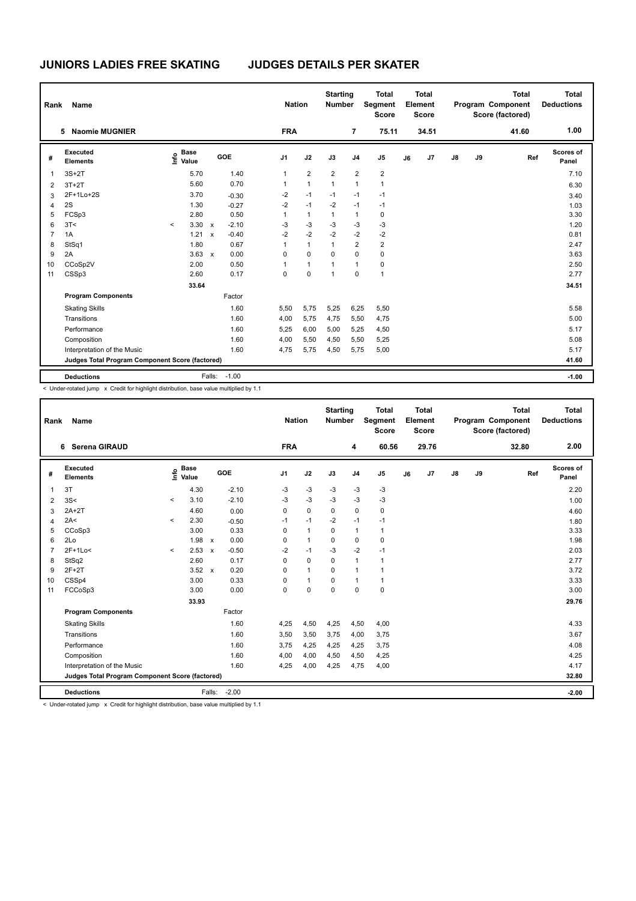| Rank           | <b>Name</b>                                     |         |                                  |              |              |                | <b>Nation</b> |                | <b>Starting</b><br><b>Number</b> |                         | <b>Total</b><br>Segment<br><b>Score</b> |    | <b>Total</b><br>Element<br><b>Score</b> |    |    | <b>Total</b><br>Program Component<br>Score (factored) | Total<br><b>Deductions</b> |
|----------------|-------------------------------------------------|---------|----------------------------------|--------------|--------------|----------------|---------------|----------------|----------------------------------|-------------------------|-----------------------------------------|----|-----------------------------------------|----|----|-------------------------------------------------------|----------------------------|
|                | <b>Naomie MUGNIER</b><br>5                      |         |                                  |              |              | <b>FRA</b>     |               |                |                                  | $\overline{7}$          | 75.11                                   |    | 34.51                                   |    |    | 41.60                                                 | 1.00                       |
| #              | Executed<br><b>Elements</b>                     |         | <b>Base</b><br>e Base<br>⊆ Value |              | GOE          | J <sub>1</sub> |               | J2             | J3                               | J <sub>4</sub>          | J <sub>5</sub>                          | J6 | J7                                      | J8 | J9 | Ref                                                   | <b>Scores of</b><br>Panel  |
| 1              | $3S+2T$                                         |         | 5.70                             |              | 1.40         | $\mathbf{1}$   |               | $\overline{2}$ | $\overline{2}$                   | $\overline{\mathbf{c}}$ | $\overline{\mathbf{c}}$                 |    |                                         |    |    |                                                       | 7.10                       |
| $\overline{2}$ | $3T+2T$                                         |         | 5.60                             |              | 0.70         | 1              |               | $\mathbf{1}$   | $\mathbf{1}$                     | $\mathbf{1}$            | $\mathbf{1}$                            |    |                                         |    |    |                                                       | 6.30                       |
| 3              | 2F+1Lo+2S                                       |         | 3.70                             |              | $-0.30$      | $-2$           |               | $-1$           | $-1$                             | $-1$                    | $-1$                                    |    |                                         |    |    |                                                       | 3.40                       |
| $\overline{4}$ | 2S                                              |         | 1.30                             |              | $-0.27$      | $-2$           |               | $-1$           | $-2$                             | $-1$                    | $-1$                                    |    |                                         |    |    |                                                       | 1.03                       |
| 5              | FCSp3                                           |         | 2.80                             |              | 0.50         | $\mathbf{1}$   |               | $\mathbf{1}$   | $\mathbf{1}$                     | $\mathbf{1}$            | 0                                       |    |                                         |    |    |                                                       | 3.30                       |
| 6              | 3T<                                             | $\prec$ | 3.30                             | $\mathbf{x}$ | $-2.10$      | $-3$           |               | $-3$           | $-3$                             | $-3$                    | $-3$                                    |    |                                         |    |    |                                                       | 1.20                       |
| $\overline{7}$ | 1A                                              |         | 1.21                             | $\mathsf{x}$ | $-0.40$      | $-2$           |               | $-2$           | $-2$                             | $-2$                    | $-2$                                    |    |                                         |    |    |                                                       | 0.81                       |
| 8              | StSq1                                           |         | 1.80                             |              | 0.67         | $\mathbf{1}$   |               | $\mathbf{1}$   | $\mathbf{1}$                     | $\overline{\mathbf{c}}$ | $\overline{2}$                          |    |                                         |    |    |                                                       | 2.47                       |
| 9              | 2A                                              |         | 3.63                             | $\mathbf{x}$ | 0.00         | $\Omega$       |               | $\mathbf 0$    | $\Omega$                         | $\mathbf 0$             | $\pmb{0}$                               |    |                                         |    |    |                                                       | 3.63                       |
| 10             | CCoSp2V                                         |         | 2.00                             |              | 0.50         | $\mathbf{1}$   |               | $\mathbf{1}$   | 1                                | $\mathbf{1}$            | 0                                       |    |                                         |    |    |                                                       | 2.50                       |
| 11             | CSSp3                                           |         | 2.60                             |              | 0.17         | 0              |               | $\mathbf 0$    | $\mathbf{1}$                     | $\mathbf 0$             | $\mathbf{1}$                            |    |                                         |    |    |                                                       | 2.77                       |
|                |                                                 |         | 33.64                            |              |              |                |               |                |                                  |                         |                                         |    |                                         |    |    |                                                       | 34.51                      |
|                | <b>Program Components</b>                       |         |                                  |              | Factor       |                |               |                |                                  |                         |                                         |    |                                         |    |    |                                                       |                            |
|                | <b>Skating Skills</b>                           |         |                                  |              | 1.60         | 5,50           |               | 5,75           | 5,25                             | 6,25                    | 5,50                                    |    |                                         |    |    |                                                       | 5.58                       |
|                | Transitions                                     |         |                                  |              | 1.60         | 4,00           |               | 5,75           | 4,75                             | 5,50                    | 4,75                                    |    |                                         |    |    |                                                       | 5.00                       |
|                | Performance                                     |         |                                  |              | 1.60         | 5,25           |               | 6,00           | 5,00                             | 5,25                    | 4,50                                    |    |                                         |    |    |                                                       | 5.17                       |
|                | Composition                                     |         |                                  |              | 1.60         | 4,00           |               | 5,50           | 4,50                             | 5,50                    | 5,25                                    |    |                                         |    |    |                                                       | 5.08                       |
|                | Interpretation of the Music                     |         |                                  |              | 1.60         | 4,75           |               | 5,75           | 4,50                             | 5,75                    | 5,00                                    |    |                                         |    |    |                                                       | 5.17                       |
|                | Judges Total Program Component Score (factored) |         |                                  |              |              |                |               |                |                                  |                         |                                         |    |                                         |    |    |                                                       | 41.60                      |
|                | <b>Deductions</b>                               |         |                                  |              | Falls: -1.00 |                |               |                |                                  |                         |                                         |    |                                         |    |    |                                                       | $-1.00$                    |

< Under-rotated jump x Credit for highlight distribution, base value multiplied by 1.1

| Rank           | Name                                            |         | <b>Nation</b>        | <b>Starting</b><br><b>Number</b> |         | <b>Total</b><br>Segment<br><b>Score</b> |              | <b>Total</b><br>Element<br><b>Score</b> |                |              | <b>Total</b><br>Program Component<br>Score (factored) | <b>Total</b><br><b>Deductions</b> |               |    |       |                    |
|----------------|-------------------------------------------------|---------|----------------------|----------------------------------|---------|-----------------------------------------|--------------|-----------------------------------------|----------------|--------------|-------------------------------------------------------|-----------------------------------|---------------|----|-------|--------------------|
|                | 6 Serena GIRAUD                                 |         |                      |                                  |         | <b>FRA</b>                              |              |                                         | 4              | 60.56        |                                                       | 29.76                             |               |    | 32.80 | 2.00               |
| #              | Executed<br><b>Elements</b>                     | lnfo    | <b>Base</b><br>Value |                                  | GOE     | J <sub>1</sub>                          | J2           | J3                                      | J <sub>4</sub> | J5           | J6                                                    | J7                                | $\mathsf{J}8$ | J9 | Ref   | Scores of<br>Panel |
| 1              | 3T                                              |         | 4.30                 |                                  | $-2.10$ | -3                                      | $-3$         | -3                                      | -3             | $-3$         |                                                       |                                   |               |    |       | 2.20               |
| $\overline{2}$ | 3S<                                             | $\prec$ | 3.10                 |                                  | $-2.10$ | $-3$                                    | $-3$         | $-3$                                    | $-3$           | $-3$         |                                                       |                                   |               |    |       | 1.00               |
| 3              | $2A+2T$                                         |         | 4.60                 |                                  | 0.00    | 0                                       | $\mathbf 0$  | $\mathbf 0$                             | $\mathbf 0$    | $\mathbf 0$  |                                                       |                                   |               |    |       | 4.60               |
| 4              | 2A<                                             | $\,<$   | 2.30                 |                                  | $-0.50$ | $-1$                                    | $-1$         | $-2$                                    | $-1$           | $-1$         |                                                       |                                   |               |    |       | 1.80               |
| 5              | CCoSp3                                          |         | 3.00                 |                                  | 0.33    | $\Omega$                                | $\mathbf{1}$ | $\Omega$                                | $\mathbf{1}$   | $\mathbf{1}$ |                                                       |                                   |               |    |       | 3.33               |
| 6              | 2Lo                                             |         | 1.98                 | $\mathsf{x}$                     | 0.00    | 0                                       | $\mathbf{1}$ | $\mathbf 0$                             | $\mathbf 0$    | $\mathbf 0$  |                                                       |                                   |               |    |       | 1.98               |
| $\overline{7}$ | 2F+1Lo<                                         | $\prec$ | 2.53                 | $\boldsymbol{\mathsf{x}}$        | $-0.50$ | $-2$                                    | $-1$         | $-3$                                    | $-2$           | $-1$         |                                                       |                                   |               |    |       | 2.03               |
| 8              | StSq2                                           |         | 2.60                 |                                  | 0.17    | $\Omega$                                | $\mathbf 0$  | $\Omega$                                | $\mathbf{1}$   | 1            |                                                       |                                   |               |    |       | 2.77               |
| 9              | $2F+2T$                                         |         | 3.52                 | $\mathbf{x}$                     | 0.20    | $\Omega$                                | $\mathbf{1}$ | $\Omega$                                | $\mathbf{1}$   | $\mathbf{1}$ |                                                       |                                   |               |    |       | 3.72               |
| 10             | CSSp4                                           |         | 3.00                 |                                  | 0.33    | 0                                       | $\mathbf{1}$ | $\mathbf 0$                             | $\mathbf{1}$   | 1            |                                                       |                                   |               |    |       | 3.33               |
| 11             | FCCoSp3                                         |         | 3.00                 |                                  | 0.00    | 0                                       | $\Omega$     | $\Omega$                                | $\Omega$       | $\mathbf 0$  |                                                       |                                   |               |    |       | 3.00               |
|                |                                                 |         | 33.93                |                                  |         |                                         |              |                                         |                |              |                                                       |                                   |               |    |       | 29.76              |
|                | <b>Program Components</b>                       |         |                      |                                  | Factor  |                                         |              |                                         |                |              |                                                       |                                   |               |    |       |                    |
|                | <b>Skating Skills</b>                           |         |                      |                                  | 1.60    | 4,25                                    | 4,50         | 4,25                                    | 4,50           | 4,00         |                                                       |                                   |               |    |       | 4.33               |
|                | Transitions                                     |         |                      |                                  | 1.60    | 3,50                                    | 3,50         | 3,75                                    | 4,00           | 3,75         |                                                       |                                   |               |    |       | 3.67               |
|                | Performance                                     |         |                      |                                  | 1.60    | 3.75                                    | 4,25         | 4,25                                    | 4,25           | 3,75         |                                                       |                                   |               |    |       | 4.08               |
|                | Composition                                     |         |                      |                                  | 1.60    | 4,00                                    | 4,00         | 4,50                                    | 4,50           | 4,25         |                                                       |                                   |               |    |       | 4.25               |
|                | Interpretation of the Music                     |         |                      |                                  | 1.60    | 4,25                                    | 4,00         | 4,25                                    | 4,75           | 4,00         |                                                       |                                   |               |    |       | 4.17               |
|                | Judges Total Program Component Score (factored) |         |                      |                                  |         |                                         |              |                                         |                |              |                                                       |                                   |               |    |       | 32.80              |
|                | <b>Deductions</b>                               |         |                      | Falls:                           | $-2.00$ |                                         |              |                                         |                |              |                                                       |                                   |               |    |       | $-2.00$            |

< Under-rotated jump x Credit for highlight distribution, base value multiplied by 1.1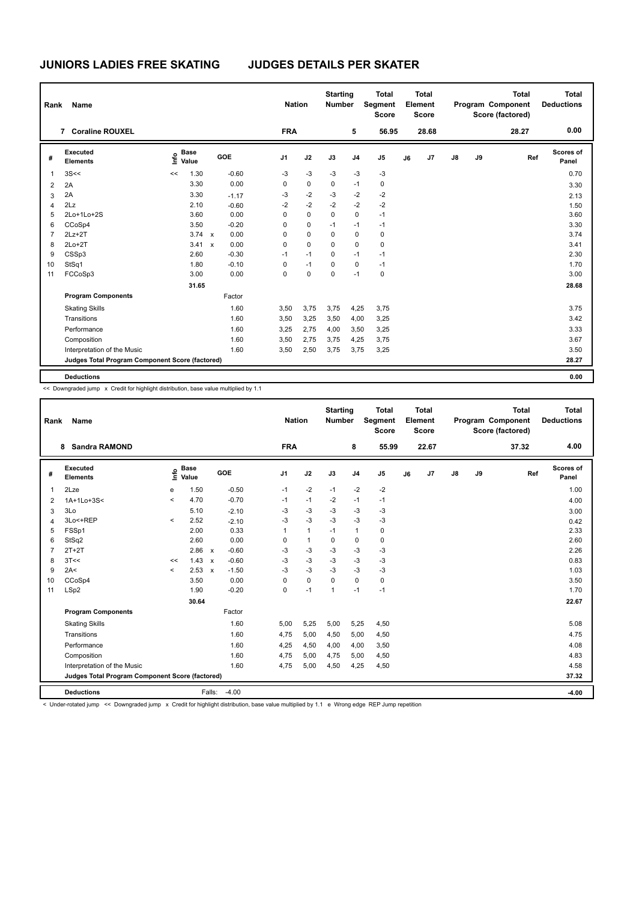| Rank           | <b>Name</b>                                     |                              | <b>Nation</b>                     |                | <b>Starting</b><br><b>Number</b> |          | <b>Total</b><br>Segment<br><b>Score</b> |                | Total<br>Element<br><b>Score</b> |       |               | <b>Total</b><br>Program Component<br>Score (factored) | Total<br><b>Deductions</b> |                    |
|----------------|-------------------------------------------------|------------------------------|-----------------------------------|----------------|----------------------------------|----------|-----------------------------------------|----------------|----------------------------------|-------|---------------|-------------------------------------------------------|----------------------------|--------------------|
|                | <b>Coraline ROUXEL</b><br>$\overline{7}$        |                              |                                   | <b>FRA</b>     |                                  |          | 5                                       | 56.95          |                                  | 28.68 |               |                                                       | 28.27                      | 0.00               |
| #              | Executed<br><b>Elements</b>                     | <b>Base</b><br>١nfo<br>Value | GOE                               | J <sub>1</sub> | J2                               | J3       | J <sub>4</sub>                          | J <sub>5</sub> | J6                               | J7    | $\mathsf{J}8$ | J9                                                    | Ref                        | Scores of<br>Panel |
| $\mathbf{1}$   | 3S<<                                            | 1.30<br><<                   | $-0.60$                           | $-3$           | $-3$                             | $-3$     | $-3$                                    | $-3$           |                                  |       |               |                                                       |                            | 0.70               |
| 2              | 2A                                              | 3.30                         | 0.00                              | 0              | 0                                | 0        | $-1$                                    | 0              |                                  |       |               |                                                       |                            | 3.30               |
| 3              | 2A                                              | 3.30                         | $-1.17$                           | $-3$           | $-2$                             | $-3$     | $-2$                                    | $-2$           |                                  |       |               |                                                       |                            | 2.13               |
| $\overline{4}$ | 2Lz                                             | 2.10                         | $-0.60$                           | $-2$           | $-2$                             | $-2$     | $-2$                                    | $-2$           |                                  |       |               |                                                       |                            | 1.50               |
| 5              | 2Lo+1Lo+2S                                      | 3.60                         | 0.00                              | 0              | $\mathbf 0$                      | 0        | 0                                       | $-1$           |                                  |       |               |                                                       |                            | 3.60               |
| 6              | CCoSp4                                          | 3.50                         | $-0.20$                           | 0              | $\mathbf 0$                      | $-1$     | $-1$                                    | $-1$           |                                  |       |               |                                                       |                            | 3.30               |
| 7              | $2Lz+2T$                                        | 3.74                         | 0.00<br>$\mathsf{x}$              | 0              | $\mathbf 0$                      | 0        | 0                                       | $\mathbf 0$    |                                  |       |               |                                                       |                            | 3.74               |
| 8              | $2Lo+2T$                                        | 3.41                         | 0.00<br>$\boldsymbol{\mathsf{x}}$ | 0              | $\mathbf 0$                      | $\Omega$ | $\mathbf 0$                             | $\mathbf 0$    |                                  |       |               |                                                       |                            | 3.41               |
| 9              | CSSp3                                           | 2.60                         | $-0.30$                           | $-1$           | $-1$                             | 0        | $-1$                                    | $-1$           |                                  |       |               |                                                       |                            | 2.30               |
| 10             | StSq1                                           | 1.80                         | $-0.10$                           | 0              | $-1$                             | $\Omega$ | $\mathbf 0$                             | $-1$           |                                  |       |               |                                                       |                            | 1.70               |
| 11             | FCCoSp3                                         | 3.00                         | 0.00                              | 0              | $\mathbf 0$                      | 0        | $-1$                                    | $\mathbf 0$    |                                  |       |               |                                                       |                            | 3.00               |
|                |                                                 | 31.65                        |                                   |                |                                  |          |                                         |                |                                  |       |               |                                                       |                            | 28.68              |
|                | <b>Program Components</b>                       |                              | Factor                            |                |                                  |          |                                         |                |                                  |       |               |                                                       |                            |                    |
|                | <b>Skating Skills</b>                           |                              | 1.60                              | 3,50           | 3,75                             | 3,75     | 4,25                                    | 3,75           |                                  |       |               |                                                       |                            | 3.75               |
|                | Transitions                                     |                              | 1.60                              | 3,50           | 3,25                             | 3,50     | 4,00                                    | 3,25           |                                  |       |               |                                                       |                            | 3.42               |
|                | Performance                                     |                              | 1.60                              | 3,25           | 2,75                             | 4,00     | 3,50                                    | 3,25           |                                  |       |               |                                                       |                            | 3.33               |
|                | Composition                                     |                              | 1.60                              | 3,50           | 2,75                             | 3,75     | 4,25                                    | 3,75           |                                  |       |               |                                                       |                            | 3.67               |
|                | Interpretation of the Music                     |                              | 1.60                              | 3,50           | 2,50                             | 3,75     | 3,75                                    | 3,25           |                                  |       |               |                                                       |                            | 3.50               |
|                | Judges Total Program Component Score (factored) |                              |                                   |                |                                  |          |                                         |                |                                  |       |               |                                                       |                            | 28.27              |
|                | <b>Deductions</b>                               |                              |                                   |                |                                  |          |                                         |                |                                  |       |               |                                                       |                            | 0.00               |

<< Downgraded jump x Credit for highlight distribution, base value multiplied by 1.1

| Name<br>Rank   |                                                 |         |                      |                           |         |                | <b>Nation</b> | <b>Starting</b><br><b>Number</b> |                | <b>Total</b><br>Segment<br><b>Score</b> |    | Total<br>Element<br><b>Score</b> |               |    | Total<br>Program Component<br>Score (factored) |     | Total<br><b>Deductions</b> |
|----------------|-------------------------------------------------|---------|----------------------|---------------------------|---------|----------------|---------------|----------------------------------|----------------|-----------------------------------------|----|----------------------------------|---------------|----|------------------------------------------------|-----|----------------------------|
|                | <b>Sandra RAMOND</b><br>8                       |         |                      |                           |         | <b>FRA</b>     |               |                                  | 8              | 55.99                                   |    | 22.67                            |               |    | 37.32                                          |     | 4.00                       |
| #              | Executed<br><b>Elements</b>                     | e       | <b>Base</b><br>Value |                           | GOE     | J <sub>1</sub> | J2            | J3                               | J <sub>4</sub> | J <sub>5</sub>                          | J6 | J7                               | $\mathsf{J}8$ | J9 |                                                | Ref | Scores of<br>Panel         |
| $\mathbf{1}$   | 2Lze                                            | e       | 1.50                 |                           | $-0.50$ | $-1$           | $-2$          | $-1$                             | $-2$           | $-2$                                    |    |                                  |               |    |                                                |     | 1.00                       |
| $\overline{2}$ | 1A+1Lo+3S<                                      | $\prec$ | 4.70                 |                           | $-0.70$ | $-1$           | $-1$          | $-2$                             | $-1$           | $-1$                                    |    |                                  |               |    |                                                |     | 4.00                       |
| 3              | 3Lo                                             |         | 5.10                 |                           | $-2.10$ | -3             | $-3$          | $-3$                             | $-3$           | $-3$                                    |    |                                  |               |    |                                                |     | 3.00                       |
| $\overline{4}$ | 3Lo<+REP                                        | $\prec$ | 2.52                 |                           | $-2.10$ | $-3$           | $-3$          | $-3$                             | $-3$           | $-3$                                    |    |                                  |               |    |                                                |     | 0.42                       |
| 5              | FSSp1                                           |         | 2.00                 |                           | 0.33    | 1              | $\mathbf{1}$  | $-1$                             | $\mathbf{1}$   | $\mathbf 0$                             |    |                                  |               |    |                                                |     | 2.33                       |
| 6              | StSq2                                           |         | 2.60                 |                           | 0.00    | 0              | $\mathbf{1}$  | $\mathbf 0$                      | $\mathbf 0$    | $\mathbf 0$                             |    |                                  |               |    |                                                |     | 2.60                       |
| $\overline{7}$ | $2T+2T$                                         |         | 2.86                 | $\boldsymbol{\mathsf{x}}$ | $-0.60$ | -3             | -3            | -3                               | -3             | -3                                      |    |                                  |               |    |                                                |     | 2.26                       |
| 8              | 3T<<                                            | <<      | 1.43                 | $\mathbf{x}$              | $-0.60$ | $-3$           | $-3$          | $-3$                             | $-3$           | $-3$                                    |    |                                  |               |    |                                                |     | 0.83                       |
| 9              | 2A<                                             | $\prec$ | 2.53                 | $\boldsymbol{\mathsf{x}}$ | $-1.50$ | -3             | $-3$          | $-3$                             | $-3$           | $-3$                                    |    |                                  |               |    |                                                |     | 1.03                       |
| 10             | CCoSp4                                          |         | 3.50                 |                           | 0.00    | $\Omega$       | $\pmb{0}$     | $\Omega$                         | $\mathbf 0$    | 0                                       |    |                                  |               |    |                                                |     | 3.50                       |
| 11             | LSp2                                            |         | 1.90                 |                           | $-0.20$ | 0              | $-1$          | $\mathbf{1}$                     | $-1$           | $-1$                                    |    |                                  |               |    |                                                |     | 1.70                       |
|                |                                                 |         | 30.64                |                           |         |                |               |                                  |                |                                         |    |                                  |               |    |                                                |     | 22.67                      |
|                | <b>Program Components</b>                       |         |                      |                           | Factor  |                |               |                                  |                |                                         |    |                                  |               |    |                                                |     |                            |
|                | <b>Skating Skills</b>                           |         |                      |                           | 1.60    | 5,00           | 5,25          | 5,00                             | 5,25           | 4,50                                    |    |                                  |               |    |                                                |     | 5.08                       |
|                | Transitions                                     |         |                      |                           | 1.60    | 4,75           | 5,00          | 4,50                             | 5,00           | 4,50                                    |    |                                  |               |    |                                                |     | 4.75                       |
|                | Performance                                     |         |                      |                           | 1.60    | 4,25           | 4,50          | 4.00                             | 4.00           | 3,50                                    |    |                                  |               |    |                                                |     | 4.08                       |
|                | Composition                                     |         |                      |                           | 1.60    | 4.75           | 5,00          | 4.75                             | 5.00           | 4,50                                    |    |                                  |               |    |                                                |     | 4.83                       |
|                | Interpretation of the Music                     |         |                      |                           | 1.60    | 4.75           | 5,00          | 4.50                             | 4.25           | 4,50                                    |    |                                  |               |    |                                                |     | 4.58                       |
|                | Judges Total Program Component Score (factored) |         |                      |                           |         |                |               |                                  |                |                                         |    |                                  |               |    |                                                |     | 37.32                      |
|                | <b>Deductions</b>                               |         |                      | Falls:                    | $-4.00$ |                |               |                                  |                |                                         |    |                                  |               |    |                                                |     | $-4.00$                    |

< Under-rotated jump << Downgraded jump x Credit for highlight distribution, base value multiplied by 1.1 e Wrong edge REP Jump repetition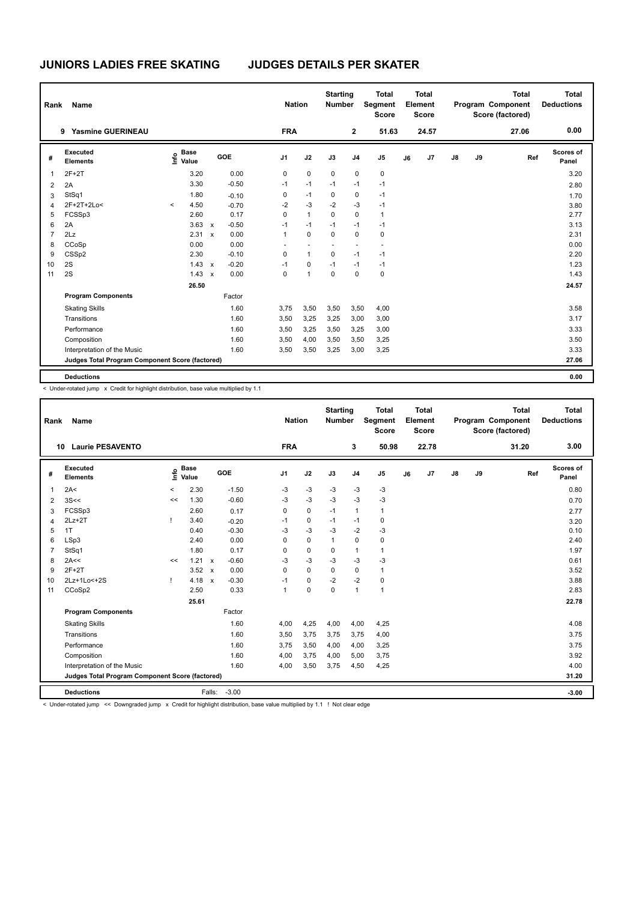| Rank           | Name                                            |         |                      |                           |         |                | <b>Nation</b> | <b>Starting</b><br><b>Number</b> |                | <b>Total</b><br>Segment<br><b>Score</b> |    | <b>Total</b><br>Element<br><b>Score</b> |               |    | Total<br>Program Component<br>Score (factored) | Total<br><b>Deductions</b> |
|----------------|-------------------------------------------------|---------|----------------------|---------------------------|---------|----------------|---------------|----------------------------------|----------------|-----------------------------------------|----|-----------------------------------------|---------------|----|------------------------------------------------|----------------------------|
|                | <b>Yasmine GUERINEAU</b><br>9                   |         |                      |                           |         | <b>FRA</b>     |               |                                  | $\mathbf{2}$   | 51.63                                   |    | 24.57                                   |               |    | 27.06                                          | 0.00                       |
| #              | Executed<br><b>Elements</b>                     | lnfo    | <b>Base</b><br>Value |                           | GOE     | J <sub>1</sub> | J2            | J3                               | J <sub>4</sub> | J <sub>5</sub>                          | J6 | J7                                      | $\mathsf{J}8$ | J9 | Ref                                            | Scores of<br>Panel         |
| 1              | $2F+2T$                                         |         | 3.20                 |                           | 0.00    | 0              | $\mathbf 0$   | $\mathbf 0$                      | $\pmb{0}$      | $\pmb{0}$                               |    |                                         |               |    |                                                | 3.20                       |
| 2              | 2A                                              |         | 3.30                 |                           | $-0.50$ | $-1$           | $-1$          | $-1$                             | $-1$           | $-1$                                    |    |                                         |               |    |                                                | 2.80                       |
| 3              | StSq1                                           |         | 1.80                 |                           | $-0.10$ | 0              | $-1$          | 0                                | 0              | $-1$                                    |    |                                         |               |    |                                                | 1.70                       |
| $\overline{4}$ | 2F+2T+2Lo<                                      | $\prec$ | 4.50                 |                           | $-0.70$ | $-2$           | $-3$          | $-2$                             | $-3$           | $-1$                                    |    |                                         |               |    |                                                | 3.80                       |
| 5              | FCSSp3                                          |         | 2.60                 |                           | 0.17    | $\Omega$       | $\mathbf{1}$  | $\mathbf 0$                      | $\mathbf 0$    | $\mathbf{1}$                            |    |                                         |               |    |                                                | 2.77                       |
| 6              | 2A                                              |         | 3.63                 | $\mathbf{x}$              | $-0.50$ | $-1$           | $-1$          | $-1$                             | $-1$           | $-1$                                    |    |                                         |               |    |                                                | 3.13                       |
| $\overline{7}$ | 2Lz                                             |         | 2.31                 | $\boldsymbol{\mathsf{x}}$ | 0.00    | $\mathbf{1}$   | $\mathbf 0$   | $\mathbf 0$                      | $\mathbf 0$    | $\pmb{0}$                               |    |                                         |               |    |                                                | 2.31                       |
| 8              | CCoSp                                           |         | 0.00                 |                           | 0.00    | ٠              |               |                                  | ٠              | ٠                                       |    |                                         |               |    |                                                | 0.00                       |
| 9              | CSSp2                                           |         | 2.30                 |                           | $-0.10$ | 0              | $\mathbf{1}$  | $\mathbf 0$                      | $-1$           | $-1$                                    |    |                                         |               |    |                                                | 2.20                       |
| 10             | 2S                                              |         | 1.43                 | $\mathbf{x}$              | $-0.20$ | $-1$           | $\mathbf 0$   | $-1$                             | $-1$           | $-1$                                    |    |                                         |               |    |                                                | 1.23                       |
| 11             | 2S                                              |         | 1.43                 | $\boldsymbol{\mathsf{x}}$ | 0.00    | 0              | 1             | $\mathbf 0$                      | $\mathbf 0$    | $\pmb{0}$                               |    |                                         |               |    |                                                | 1.43                       |
|                |                                                 |         | 26.50                |                           |         |                |               |                                  |                |                                         |    |                                         |               |    |                                                | 24.57                      |
|                | <b>Program Components</b>                       |         |                      |                           | Factor  |                |               |                                  |                |                                         |    |                                         |               |    |                                                |                            |
|                | <b>Skating Skills</b>                           |         |                      |                           | 1.60    | 3,75           | 3,50          | 3,50                             | 3,50           | 4,00                                    |    |                                         |               |    |                                                | 3.58                       |
|                | Transitions                                     |         |                      |                           | 1.60    | 3,50           | 3,25          | 3,25                             | 3,00           | 3,00                                    |    |                                         |               |    |                                                | 3.17                       |
|                | Performance                                     |         |                      |                           | 1.60    | 3,50           | 3,25          | 3,50                             | 3,25           | 3,00                                    |    |                                         |               |    |                                                | 3.33                       |
|                | Composition                                     |         |                      |                           | 1.60    | 3,50           | 4,00          | 3,50                             | 3,50           | 3,25                                    |    |                                         |               |    |                                                | 3.50                       |
|                | Interpretation of the Music                     |         |                      |                           | 1.60    | 3,50           | 3,50          | 3,25                             | 3,00           | 3,25                                    |    |                                         |               |    |                                                | 3.33                       |
|                | Judges Total Program Component Score (factored) |         |                      |                           |         |                |               |                                  |                |                                         |    |                                         |               |    |                                                | 27.06                      |
|                | <b>Deductions</b>                               |         |                      |                           |         |                |               |                                  |                |                                         |    |                                         |               |    |                                                | 0.00                       |

< Under-rotated jump x Credit for highlight distribution, base value multiplied by 1.1

| Rank           | Name                                            |         | <b>Nation</b>        | <b>Starting</b><br><b>Number</b> |         | Total<br><b>Segment</b><br><b>Score</b> |             | Total<br>Element<br><b>Score</b> |                |                | Total<br>Program Component<br>Score (factored) | Total<br><b>Deductions</b> |    |    |       |                    |
|----------------|-------------------------------------------------|---------|----------------------|----------------------------------|---------|-----------------------------------------|-------------|----------------------------------|----------------|----------------|------------------------------------------------|----------------------------|----|----|-------|--------------------|
|                | <b>Laurie PESAVENTO</b><br>10                   |         |                      |                                  |         | <b>FRA</b>                              |             |                                  | 3              | 50.98          |                                                | 22.78                      |    |    | 31.20 | 3.00               |
| #              | Executed<br><b>Elements</b>                     | e       | <b>Base</b><br>Value |                                  | GOE     | J <sub>1</sub>                          | J2          | J3                               | J <sub>4</sub> | J <sub>5</sub> | J6                                             | J7                         | J8 | J9 | Ref   | Scores of<br>Panel |
| $\mathbf{1}$   | 2A<                                             | $\prec$ | 2.30                 |                                  | $-1.50$ | $-3$                                    | $-3$        | $-3$                             | $-3$           | $-3$           |                                                |                            |    |    |       | 0.80               |
| 2              | 3S<<                                            | <<      | 1.30                 |                                  | $-0.60$ | $-3$                                    | $-3$        | $-3$                             | $-3$           | $-3$           |                                                |                            |    |    |       | 0.70               |
| 3              | FCSSp3                                          |         | 2.60                 |                                  | 0.17    | 0                                       | $\mathbf 0$ | $-1$                             | $\mathbf{1}$   | $\mathbf{1}$   |                                                |                            |    |    |       | 2.77               |
| 4              | $2Lz+2T$                                        |         | 3.40                 |                                  | $-0.20$ | $-1$                                    | $\mathbf 0$ | $-1$                             | $-1$           | $\mathbf 0$    |                                                |                            |    |    |       | 3.20               |
| 5              | 1T                                              |         | 0.40                 |                                  | $-0.30$ | -3                                      | $-3$        | -3                               | $-2$           | -3             |                                                |                            |    |    |       | 0.10               |
| 6              | LSp3                                            |         | 2.40                 |                                  | 0.00    | 0                                       | $\mathbf 0$ | $\mathbf{1}$                     | $\Omega$       | $\mathbf 0$    |                                                |                            |    |    |       | 2.40               |
| $\overline{7}$ | StSq1                                           |         | 1.80                 |                                  | 0.17    | 0                                       | $\mathbf 0$ | $\mathbf 0$                      | $\mathbf{1}$   | $\mathbf{1}$   |                                                |                            |    |    |       | 1.97               |
| 8              | 2A<<                                            | <<      | 1.21                 | $\boldsymbol{\mathsf{x}}$        | $-0.60$ | $-3$                                    | $-3$        | $-3$                             | $-3$           | $-3$           |                                                |                            |    |    |       | 0.61               |
| 9              | $2F+2T$                                         |         | 3.52                 | $\boldsymbol{\mathsf{x}}$        | 0.00    | 0                                       | $\Omega$    | $\Omega$                         | $\mathbf 0$    | 1              |                                                |                            |    |    |       | 3.52               |
| 10             | 2Lz+1Lo<+2S                                     | -1      | 4.18                 | $\mathbf{x}$                     | $-0.30$ | $-1$                                    | $\mathbf 0$ | $-2$                             | $-2$           | $\mathbf 0$    |                                                |                            |    |    |       | 3.88               |
| 11             | CCoSp2                                          |         | 2.50                 |                                  | 0.33    | $\overline{1}$                          | $\Omega$    | $\Omega$                         | $\mathbf{1}$   | $\mathbf{1}$   |                                                |                            |    |    |       | 2.83               |
|                |                                                 |         | 25.61                |                                  |         |                                         |             |                                  |                |                |                                                |                            |    |    |       | 22.78              |
|                | <b>Program Components</b>                       |         |                      |                                  | Factor  |                                         |             |                                  |                |                |                                                |                            |    |    |       |                    |
|                | <b>Skating Skills</b>                           |         |                      |                                  | 1.60    | 4,00                                    | 4,25        | 4,00                             | 4,00           | 4,25           |                                                |                            |    |    |       | 4.08               |
|                | Transitions                                     |         |                      |                                  | 1.60    | 3,50                                    | 3,75        | 3,75                             | 3,75           | 4,00           |                                                |                            |    |    |       | 3.75               |
|                | Performance                                     |         |                      |                                  | 1.60    | 3.75                                    | 3,50        | 4,00                             | 4,00           | 3,25           |                                                |                            |    |    |       | 3.75               |
|                | Composition                                     |         |                      |                                  | 1.60    | 4,00                                    | 3,75        | 4,00                             | 5,00           | 3,75           |                                                |                            |    |    |       | 3.92               |
|                | Interpretation of the Music                     |         |                      |                                  | 1.60    | 4,00                                    | 3,50        | 3.75                             | 4,50           | 4,25           |                                                |                            |    |    |       | 4.00               |
|                | Judges Total Program Component Score (factored) |         |                      |                                  |         |                                         |             |                                  |                |                |                                                |                            |    |    |       | 31.20              |
|                | <b>Deductions</b>                               |         |                      | Falls:                           | $-3.00$ |                                         |             |                                  |                |                |                                                |                            |    |    |       | $-3.00$            |

< Under-rotated jump << Downgraded jump x Credit for highlight distribution, base value multiplied by 1.1 ! Not clear edge